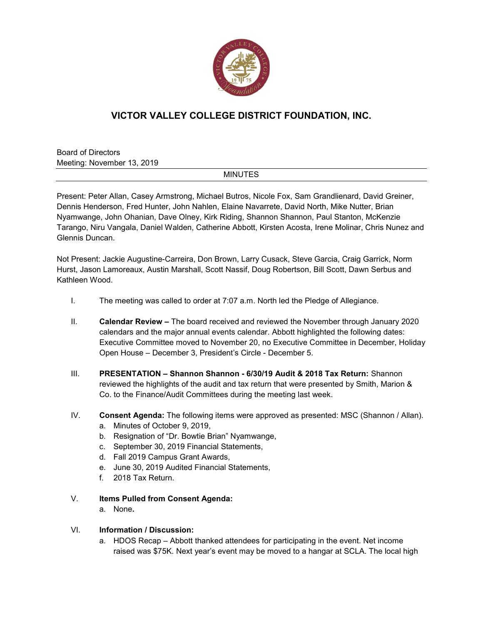

# **VICTOR VALLEY COLLEGE DISTRICT FOUNDATION, INC.**

Board of Directors Meeting: November 13, 2019

## MINUTES

Present: Peter Allan, Casey Armstrong, Michael Butros, Nicole Fox, Sam Grandlienard, David Greiner, Dennis Henderson, Fred Hunter, John Nahlen, Elaine Navarrete, David North, Mike Nutter, Brian Nyamwange, John Ohanian, Dave Olney, Kirk Riding, Shannon Shannon, Paul Stanton, McKenzie Tarango, Niru Vangala, Daniel Walden, Catherine Abbott, Kirsten Acosta, Irene Molinar, Chris Nunez and Glennis Duncan.

Not Present: Jackie Augustine-Carreira, Don Brown, Larry Cusack, Steve Garcia, Craig Garrick, Norm Hurst, Jason Lamoreaux, Austin Marshall, Scott Nassif, Doug Robertson, Bill Scott, Dawn Serbus and Kathleen Wood.

- I. The meeting was called to order at 7:07 a.m. North led the Pledge of Allegiance.
- II. **Calendar Review –** The board received and reviewed the November through January 2020 calendars and the major annual events calendar. Abbott highlighted the following dates: Executive Committee moved to November 20, no Executive Committee in December, Holiday Open House – December 3, President's Circle - December 5.
- III. **PRESENTATION – Shannon Shannon - 6/30/19 Audit & 2018 Tax Return:** Shannon reviewed the highlights of the audit and tax return that were presented by Smith, Marion & Co. to the Finance/Audit Committees during the meeting last week.
- IV. **Consent Agenda:** The following items were approved as presented: MSC (Shannon / Allan).
	- a. Minutes of October 9, 2019,
	- b. Resignation of "Dr. Bowtie Brian" Nyamwange,
	- c. September 30, 2019 Financial Statements,
	- d. Fall 2019 Campus Grant Awards,
	- e. June 30, 2019 Audited Financial Statements,
	- f. 2018 Tax Return.

## V. **Items Pulled from Consent Agenda:**

a. None**.**

## VI. **Information / Discussion:**

a. HDOS Recap – Abbott thanked attendees for participating in the event. Net income raised was \$75K. Next year's event may be moved to a hangar at SCLA. The local high